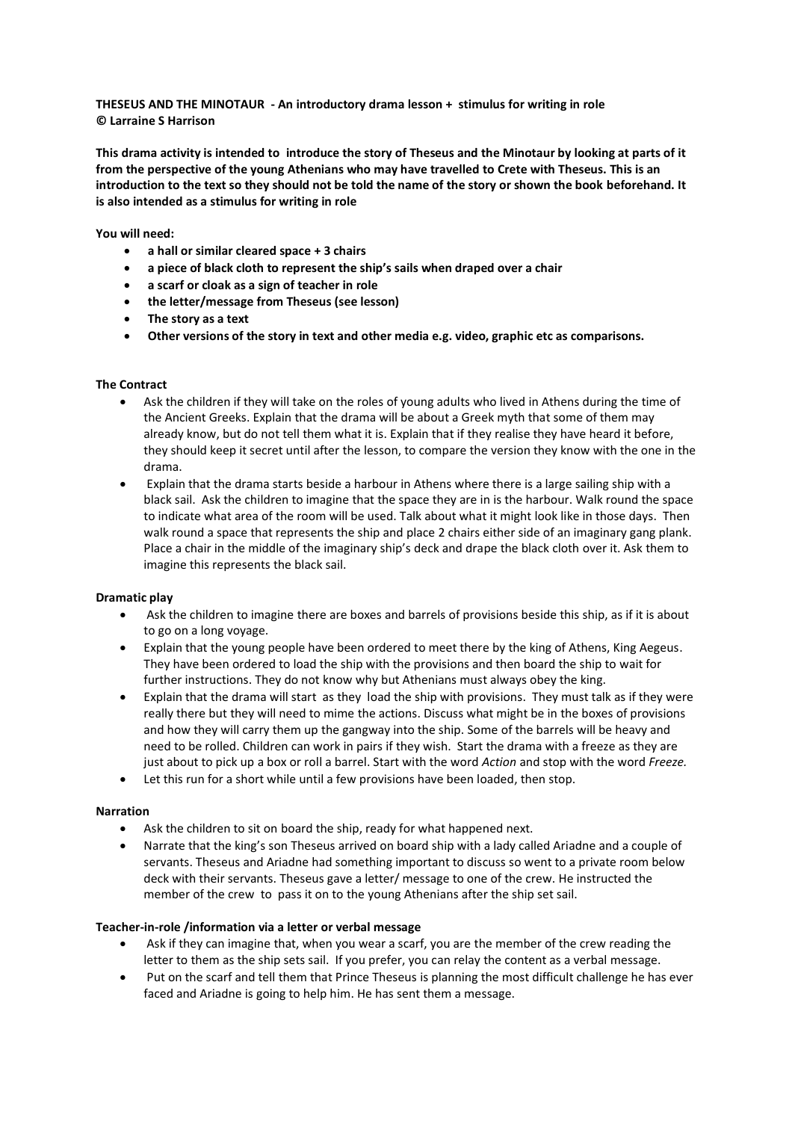**THESEUS AND THE MINOTAUR - An introductory drama lesson + stimulus for writing in role © Larraine S Harrison** 

**This drama activity is intended to introduce the story of Theseus and the Minotaur by looking at parts of it from the perspective of the young Athenians who may have travelled to Crete with Theseus. This is an introduction to the text so they should not be told the name of the story or shown the book beforehand. It is also intended as a stimulus for writing in role** 

**You will need:**

- **a hall or similar cleared space + 3 chairs**
- **a piece of black cloth to represent the ship's sails when draped over a chair**
- **a scarf or cloak as a sign of teacher in role**
- **the letter/message from Theseus (see lesson)**
- **The story as a text**
- **Other versions of the story in text and other media e.g. video, graphic etc as comparisons.**

## **The Contract**

- Ask the children if they will take on the roles of young adults who lived in Athens during the time of the Ancient Greeks. Explain that the drama will be about a Greek myth that some of them may already know, but do not tell them what it is. Explain that if they realise they have heard it before, they should keep it secret until after the lesson, to compare the version they know with the one in the drama.
- Explain that the drama starts beside a harbour in Athens where there is a large sailing ship with a black sail. Ask the children to imagine that the space they are in is the harbour. Walk round the space to indicate what area of the room will be used. Talk about what it might look like in those days. Then walk round a space that represents the ship and place 2 chairs either side of an imaginary gang plank. Place a chair in the middle of the imaginary ship's deck and drape the black cloth over it. Ask them to imagine this represents the black sail.

## **Dramatic play**

- Ask the children to imagine there are boxes and barrels of provisions beside this ship, as if it is about to go on a long voyage.
- Explain that the young people have been ordered to meet there by the king of Athens, King Aegeus. They have been ordered to load the ship with the provisions and then board the ship to wait for further instructions. They do not know why but Athenians must always obey the king.
- Explain that the drama will start as they load the ship with provisions. They must talk as if they were really there but they will need to mime the actions. Discuss what might be in the boxes of provisions and how they will carry them up the gangway into the ship. Some of the barrels will be heavy and need to be rolled. Children can work in pairs if they wish. Start the drama with a freeze as they are just about to pick up a box or roll a barrel. Start with the word *Action* and stop with the word *Freeze.*
- Let this run for a short while until a few provisions have been loaded, then stop.

## **Narration**

- Ask the children to sit on board the ship, ready for what happened next.
- Narrate that the king's son Theseus arrived on board ship with a lady called Ariadne and a couple of servants. Theseus and Ariadne had something important to discuss so went to a private room below deck with their servants. Theseus gave a letter/ message to one of the crew. He instructed the member of the crew to pass it on to the young Athenians after the ship set sail.

## **Teacher-in-role /information via a letter or verbal message**

- Ask if they can imagine that, when you wear a scarf, you are the member of the crew reading the letter to them as the ship sets sail. If you prefer, you can relay the content as a verbal message.
- Put on the scarf and tell them that Prince Theseus is planning the most difficult challenge he has ever faced and Ariadne is going to help him. He has sent them a message.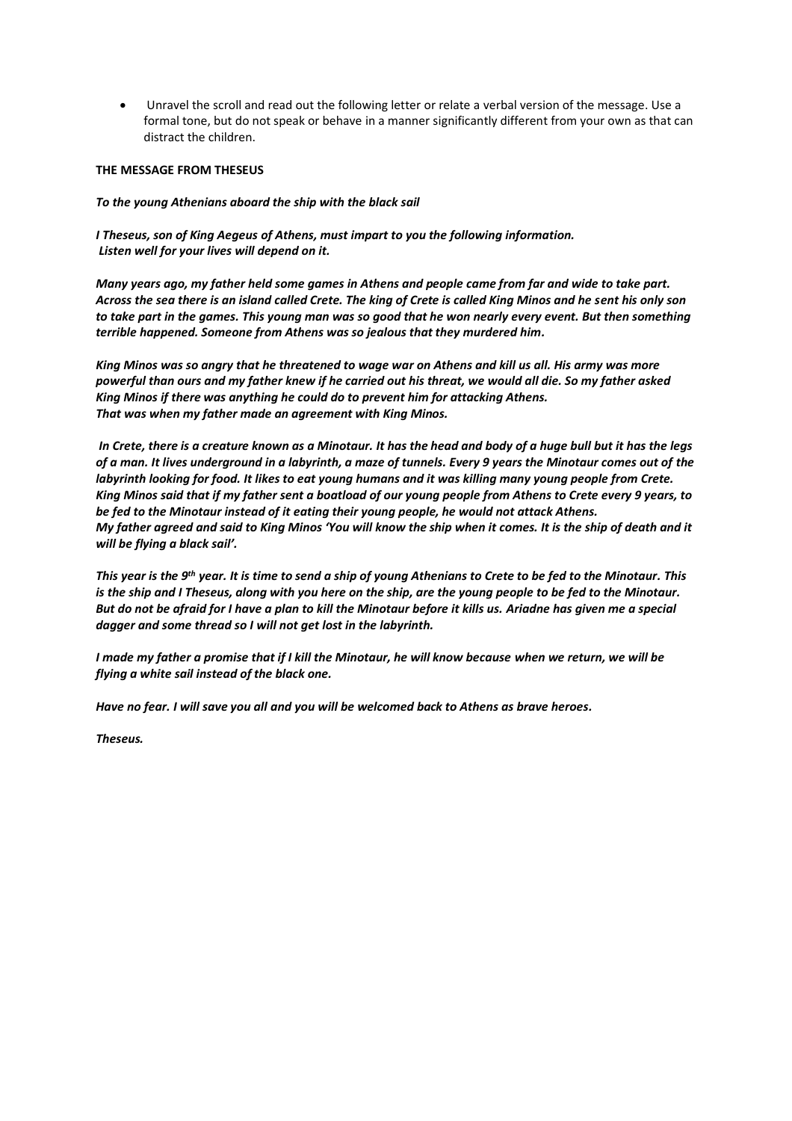• Unravel the scroll and read out the following letter or relate a verbal version of the message. Use a formal tone, but do not speak or behave in a manner significantly different from your own as that can distract the children.

### **THE MESSAGE FROM THESEUS**

### *To the young Athenians aboard the ship with the black sail*

*I Theseus, son of King Aegeus of Athens, must impart to you the following information. Listen well for your lives will depend on it.*

*Many years ago, my father held some games in Athens and people came from far and wide to take part. Across the sea there is an island called Crete. The king of Crete is called King Minos and he sent his only son to take part in the games. This young man was so good that he won nearly every event. But then something terrible happened. Someone from Athens was so jealous that they murdered him.* 

*King Minos was so angry that he threatened to wage war on Athens and kill us all. His army was more powerful than ours and my father knew if he carried out his threat, we would all die. So my father asked King Minos if there was anything he could do to prevent him for attacking Athens. That was when my father made an agreement with King Minos.*

*In Crete, there is a creature known as a Minotaur. It has the head and body of a huge bull but it has the legs of a man. It lives underground in a labyrinth, a maze of tunnels. Every 9 years the Minotaur comes out of the labyrinth looking for food. It likes to eat young humans and it was killing many young people from Crete. King Minos said that if my father sent a boatload of our young people from Athens to Crete every 9 years, to be fed to the Minotaur instead of it eating their young people, he would not attack Athens. My father agreed and said to King Minos 'You will know the ship when it comes. It is the ship of death and it will be flying a black sail'.* 

*This year is the 9th year. It is time to send a ship of young Athenians to Crete to be fed to the Minotaur. This is the ship and I Theseus, along with you here on the ship, are the young people to be fed to the Minotaur. But do not be afraid for I have a plan to kill the Minotaur before it kills us. Ariadne has given me a special dagger and some thread so I will not get lost in the labyrinth.* 

*I made my father a promise that if I kill the Minotaur, he will know because when we return, we will be flying a white sail instead of the black one.* 

*Have no fear. I will save you all and you will be welcomed back to Athens as brave heroes.* 

*Theseus.*